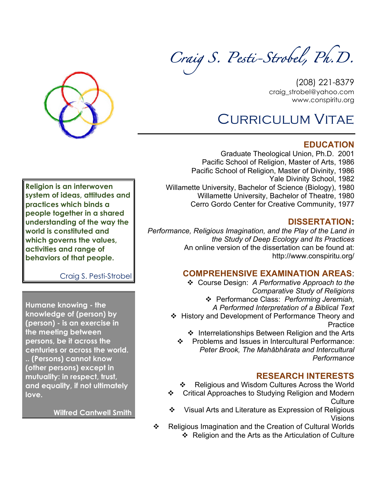*Craig S. Pesti-Strobel, Ph.D.*



(208) 221-8379 craig\_strobel@yahoo.com www.conspiritu.org

# Curriculum Vitae

## **EDUCATION**

Graduate Theological Union, Ph.D. 2001 Pacific School of Religion, Master of Arts, 1986 Pacific School of Religion, Master of Divinity, 1986 Yale Divinity School, 1982 Willamette University, Bachelor of Science (Biology), 1980 Willamette University, Bachelor of Theatre, 1980 Cerro Gordo Center for Creative Community, 1977

## **DISSERTATION:**

*Performance, Religious Imagination, and the Play of the Land in the Study of Deep Ecology and Its Practices* An online version of the dissertation can be found at: http://www.conspiritu.org/

## **COMPREHENSIVE EXAMINATION AREAS**:

v Course Design: *A Performative Approach to the Comparative Study of Religions*

v Performance Class: *Performing Jeremiah,* 

- *A Performed Interpretation of a Biblical Text*
- v History and Development of Performance Theory and **Practice** 
	- $\cdot$  Interrelationships Between Religion and the Arts
	- Problems and Issues in Intercultural Performance: *Peter Brook, The Mahâbhârata and Intercultural Performance*

# **RESEARCH INTERESTS**

- Religious and Wisdom Cultures Across the World
- v Critical Approaches to Studying Religion and Modern **Culture**
- Visual Arts and Literature as Expression of Religious Visions
- v Religious Imagination and the Creation of Cultural Worlds v Religion and the Arts as the Articulation of Culture

**Religion is an interwoven system of ideas, attitudes and practices which binds a people together in a shared understanding of the way the world is constituted and which governs the values, activities and range of behaviors of that people.**

Craig S. Pesti-Strobel

**Humane knowing - the knowledge of (person) by (person) - is an exercise in the meeting between persons, be it across the centuries or across the world. .. (Persons) cannot know (other persons) except in mutuality: in respect, trust, and equality, if not ultimately love.** 

**Wilfred Cantwell Smith**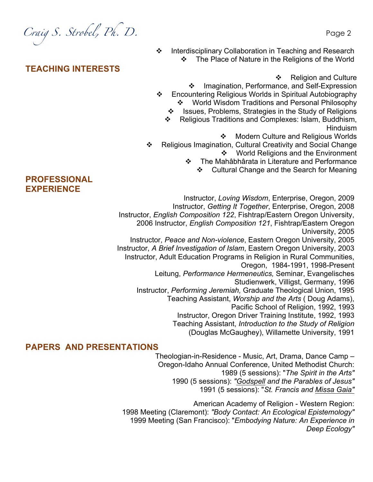*Craig S. Strobel, Ph. D.* Page 2

**TEACHING INTERESTS**

v Interdisciplinary Collaboration in Teaching and Research The Place of Nature in the Religions of the World

❖ Religion and Culture

- ❖ Imagination, Performance, and Self-Expression v Encountering Religious Worlds in Spiritual Autobiography **World Wisdom Traditions and Personal Philosophy** 
	- v Issues, Problems, Strategies in the Study of Religions
	- v Religious Traditions and Complexes: Islam, Buddhism, Hinduism
		- ❖ Modern Culture and Religious Worlds
- \* Religious Imagination, Cultural Creativity and Social Change ❖ World Religions and the Environment
	- v The Mahâbhârata in Literature and Performance
		- v Cultural Change and the Search for Meaning

Instructor, *Loving Wisdom*, Enterprise, Oregon, 2009 Instructor, *Getting It Together*, Enterprise, Oregon, 2008 Instructor, *English Composition 122*, Fishtrap/Eastern Oregon University, 2006 Instructor, *English Composition 121*, Fishtrap/Eastern Oregon University, 2005 Instructor, *Peace and Non-violence*, Eastern Oregon University, 2005 Instructor, *A Brief Investigation of Islam*, Eastern Oregon University, 2003 Instructor, Adult Education Programs in Religion in Rural Communities, Oregon, 1984-1991, 1998-Present Leitung, *Performance Hermeneutics,* Seminar, Evangelisches Studienwerk, Villigst, Germany, 1996 Instructor, *Performing Jeremiah,* Graduate Theological Union, 1995 Teaching Assistant, *Worship and the Arts* ( Doug Adams), Pacific School of Religion, 1992, 1993 Instructor, Oregon Driver Training Institute, 1992, 1993 Teaching Assistant, *Introduction to the Study of Religion*  (Douglas McGaughey), Willamette University, 1991

#### **PAPERS AND PRESENTATIONS**

Theologian-in-Residence - Music, Art, Drama, Dance Camp – Oregon-Idaho Annual Conference, United Methodist Church: 1989 (5 sessions): "*The Spirit in the Arts"* 1990 (5 sessions): *"Godspell and the Parables of Jesus"* 1991 (5 sessions): "*St. Francis and Missa Gaia"*

American Academy of Religion - Western Region: 1998 Meeting (Claremont): *"Body Contact: An Ecological Epistemology"* 1999 Meeting (San Francisco): "*Embodying Nature: An Experience in Deep Ecology"*

## **PROFESSIONAL EXPERIENCE**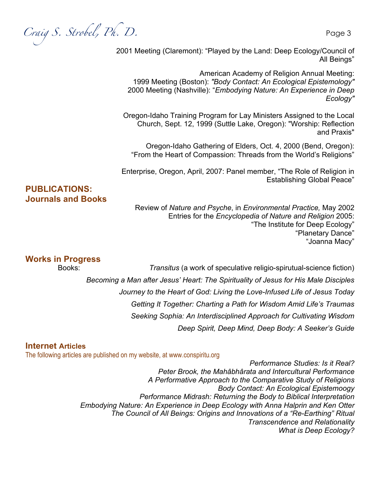*Craig S. Strobel, Ph. D.* Page 3

2001 Meeting (Claremont): "Played by the Land: Deep Ecology/Council of All Beings"

American Academy of Religion Annual Meeting: 1999 Meeting (Boston): *"Body Contact: An Ecological Epistemology"*  2000 Meeting (Nashville): "*Embodying Nature: An Experience in Deep Ecology"*

Oregon-Idaho Training Program for Lay Ministers Assigned to the Local Church, Sept. 12, 1999 (Suttle Lake, Oregon): "Worship: Reflection and Praxis"

Oregon-Idaho Gathering of Elders, Oct. 4, 2000 (Bend, Oregon): "From the Heart of Compassion: Threads from the World's Religions"

Enterprise, Oregon, April, 2007: Panel member, "The Role of Religion in Establishing Global Peace"

#### **PUBLICATIONS: Journals and Books**

Review of *Nature and Psyche*, in *Environmental Practice,* May 2002 Entries for the *Encyclopedia of Nature and Religion* 2005: "The Institute for Deep Ecology" "Planetary Dance" "Joanna Macy"

#### **Works in Progress**

Books: *Transitus* (a work of speculative religio-spirutual-science fiction) *Becoming a Man after Jesus' Heart: The Spirituality of Jesus for His Male Disciples Journey to the Heart of God: Living the Love-Infused Life of Jesus Today Getting It Together: Charting a Path for Wisdom Amid Life's Traumas Seeking Sophia: An Interdisciplined Approach for Cultivating Wisdom Deep Spirit, Deep Mind, Deep Body: A Seeker's Guide*

#### **Internet Articles**

The following articles are published on my website, at www.conspiritu.org

*Performance Studies: Is it Real? Peter Brook, the Mahâbhârata and Intercultural Performance A Performative Approach to the Comparative Study of Religions Body Contact: An Ecological Epistemoogy Performance Midrash: Returning the Body to Biblical Interpretation Embodying Nature: An Experience in Deep Ecology with Anna Halprin and Ken Otter The Council of All Beings: Origins and Innovations of a "Re-Earthing" Ritual Transcendence and Relationality What is Deep Ecology?*